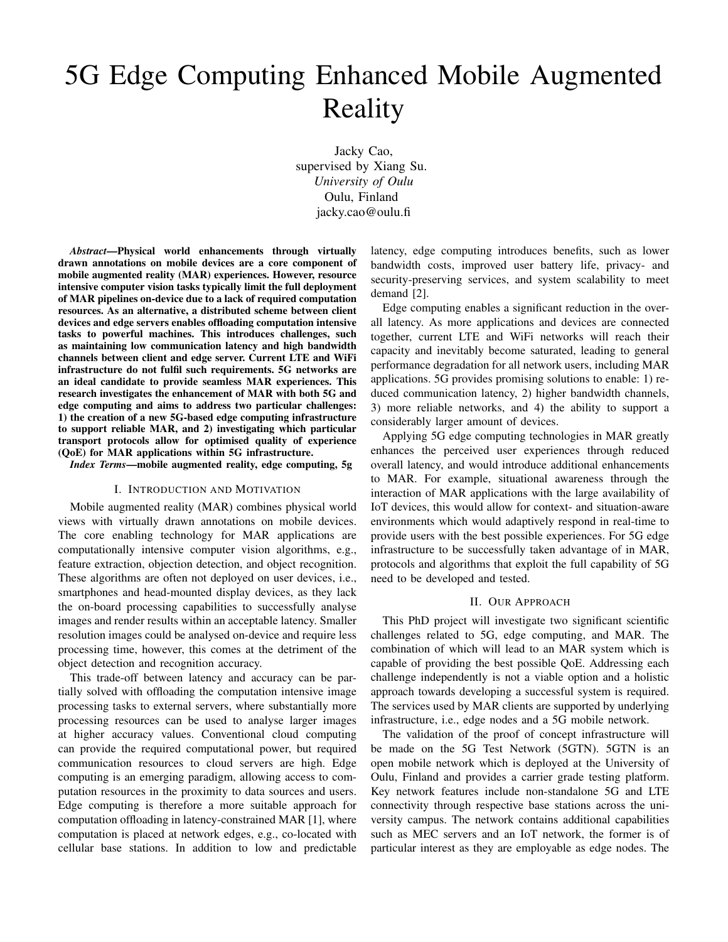# 5G Edge Computing Enhanced Mobile Augmented Reality

Jacky Cao, supervised by Xiang Su. *University of Oulu* Oulu, Finland jacky.cao@oulu.fi

*Abstract*—Physical world enhancements through virtually drawn annotations on mobile devices are a core component of mobile augmented reality (MAR) experiences. However, resource intensive computer vision tasks typically limit the full deployment of MAR pipelines on-device due to a lack of required computation resources. As an alternative, a distributed scheme between client devices and edge servers enables offloading computation intensive tasks to powerful machines. This introduces challenges, such as maintaining low communication latency and high bandwidth channels between client and edge server. Current LTE and WiFi infrastructure do not fulfil such requirements. 5G networks are an ideal candidate to provide seamless MAR experiences. This research investigates the enhancement of MAR with both 5G and edge computing and aims to address two particular challenges: 1) the creation of a new 5G-based edge computing infrastructure to support reliable MAR, and 2) investigating which particular transport protocols allow for optimised quality of experience (QoE) for MAR applications within 5G infrastructure.

*Index Terms*—mobile augmented reality, edge computing, 5g

### I. INTRODUCTION AND MOTIVATION

Mobile augmented reality (MAR) combines physical world views with virtually drawn annotations on mobile devices. The core enabling technology for MAR applications are computationally intensive computer vision algorithms, e.g., feature extraction, objection detection, and object recognition. These algorithms are often not deployed on user devices, i.e., smartphones and head-mounted display devices, as they lack the on-board processing capabilities to successfully analyse images and render results within an acceptable latency. Smaller resolution images could be analysed on-device and require less processing time, however, this comes at the detriment of the object detection and recognition accuracy.

This trade-off between latency and accuracy can be partially solved with offloading the computation intensive image processing tasks to external servers, where substantially more processing resources can be used to analyse larger images at higher accuracy values. Conventional cloud computing can provide the required computational power, but required communication resources to cloud servers are high. Edge computing is an emerging paradigm, allowing access to computation resources in the proximity to data sources and users. Edge computing is therefore a more suitable approach for computation offloading in latency-constrained MAR [1], where computation is placed at network edges, e.g., co-located with cellular base stations. In addition to low and predictable

latency, edge computing introduces benefits, such as lower bandwidth costs, improved user battery life, privacy- and security-preserving services, and system scalability to meet demand [2].

Edge computing enables a significant reduction in the overall latency. As more applications and devices are connected together, current LTE and WiFi networks will reach their capacity and inevitably become saturated, leading to general performance degradation for all network users, including MAR applications. 5G provides promising solutions to enable: 1) reduced communication latency, 2) higher bandwidth channels, 3) more reliable networks, and 4) the ability to support a considerably larger amount of devices.

Applying 5G edge computing technologies in MAR greatly enhances the perceived user experiences through reduced overall latency, and would introduce additional enhancements to MAR. For example, situational awareness through the interaction of MAR applications with the large availability of IoT devices, this would allow for context- and situation-aware environments which would adaptively respond in real-time to provide users with the best possible experiences. For 5G edge infrastructure to be successfully taken advantage of in MAR, protocols and algorithms that exploit the full capability of 5G need to be developed and tested.

# II. OUR APPROACH

This PhD project will investigate two significant scientific challenges related to 5G, edge computing, and MAR. The combination of which will lead to an MAR system which is capable of providing the best possible QoE. Addressing each challenge independently is not a viable option and a holistic approach towards developing a successful system is required. The services used by MAR clients are supported by underlying infrastructure, i.e., edge nodes and a 5G mobile network.

The validation of the proof of concept infrastructure will be made on the 5G Test Network (5GTN). 5GTN is an open mobile network which is deployed at the University of Oulu, Finland and provides a carrier grade testing platform. Key network features include non-standalone 5G and LTE connectivity through respective base stations across the university campus. The network contains additional capabilities such as MEC servers and an IoT network, the former is of particular interest as they are employable as edge nodes. The